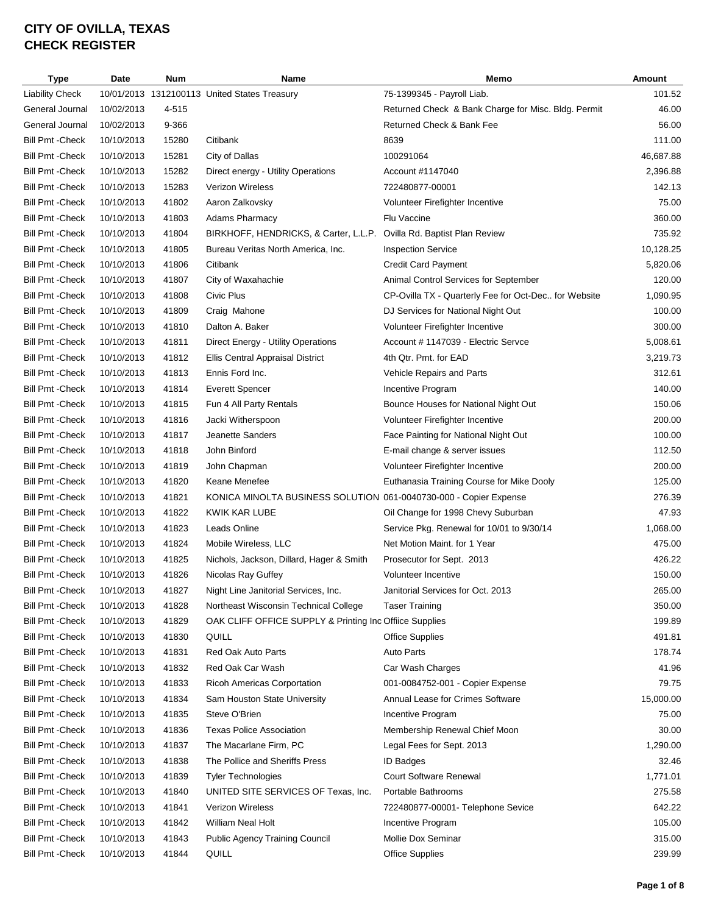| <b>Type</b>             | Date       | Num   | Name                                                              | Memo                                                 | Amount    |
|-------------------------|------------|-------|-------------------------------------------------------------------|------------------------------------------------------|-----------|
| <b>Liability Check</b>  |            |       | 10/01/2013 1312100113 United States Treasury                      | 75-1399345 - Payroll Liab.                           | 101.52    |
| General Journal         | 10/02/2013 | 4-515 |                                                                   | Returned Check & Bank Charge for Misc. Bldg. Permit  | 46.00     |
| General Journal         | 10/02/2013 | 9-366 |                                                                   | Returned Check & Bank Fee                            | 56.00     |
| <b>Bill Pmt - Check</b> | 10/10/2013 | 15280 | Citibank                                                          | 8639                                                 | 111.00    |
| <b>Bill Pmt - Check</b> | 10/10/2013 | 15281 | City of Dallas                                                    | 100291064                                            | 46,687.88 |
| Bill Pmt -Check         | 10/10/2013 | 15282 | Direct energy - Utility Operations                                | Account #1147040                                     | 2,396.88  |
| <b>Bill Pmt - Check</b> | 10/10/2013 | 15283 | Verizon Wireless                                                  | 722480877-00001                                      | 142.13    |
| Bill Pmt - Check        | 10/10/2013 | 41802 | Aaron Zalkovsky                                                   | Volunteer Firefighter Incentive                      | 75.00     |
| <b>Bill Pmt - Check</b> | 10/10/2013 | 41803 | <b>Adams Pharmacy</b>                                             | Flu Vaccine                                          | 360.00    |
| Bill Pmt -Check         | 10/10/2013 | 41804 | BIRKHOFF, HENDRICKS, & Carter, L.L.P.                             | Ovilla Rd. Baptist Plan Review                       | 735.92    |
| <b>Bill Pmt - Check</b> | 10/10/2013 | 41805 | Bureau Veritas North America, Inc.                                | <b>Inspection Service</b>                            | 10,128.25 |
| <b>Bill Pmt - Check</b> | 10/10/2013 | 41806 | Citibank                                                          | <b>Credit Card Payment</b>                           | 5,820.06  |
| <b>Bill Pmt - Check</b> | 10/10/2013 | 41807 | City of Waxahachie                                                | Animal Control Services for September                | 120.00    |
| <b>Bill Pmt - Check</b> | 10/10/2013 | 41808 | Civic Plus                                                        | CP-Ovilla TX - Quarterly Fee for Oct-Dec for Website | 1,090.95  |
| <b>Bill Pmt - Check</b> | 10/10/2013 | 41809 | Craig Mahone                                                      | DJ Services for National Night Out                   | 100.00    |
| Bill Pmt - Check        | 10/10/2013 | 41810 | Dalton A. Baker                                                   | Volunteer Firefighter Incentive                      | 300.00    |
| <b>Bill Pmt - Check</b> | 10/10/2013 | 41811 | Direct Energy - Utility Operations                                | Account # 1147039 - Electric Servce                  | 5,008.61  |
| Bill Pmt - Check        | 10/10/2013 | 41812 | <b>Ellis Central Appraisal District</b>                           | 4th Qtr. Pmt. for EAD                                | 3,219.73  |
| <b>Bill Pmt - Check</b> | 10/10/2013 | 41813 | Ennis Ford Inc.                                                   | Vehicle Repairs and Parts                            | 312.61    |
| <b>Bill Pmt - Check</b> | 10/10/2013 | 41814 | <b>Everett Spencer</b>                                            | Incentive Program                                    | 140.00    |
| <b>Bill Pmt - Check</b> | 10/10/2013 | 41815 | Fun 4 All Party Rentals                                           | Bounce Houses for National Night Out                 | 150.06    |
| Bill Pmt -Check         | 10/10/2013 | 41816 | Jacki Witherspoon                                                 | Volunteer Firefighter Incentive                      | 200.00    |
| <b>Bill Pmt - Check</b> | 10/10/2013 | 41817 | Jeanette Sanders                                                  | Face Painting for National Night Out                 | 100.00    |
| <b>Bill Pmt - Check</b> | 10/10/2013 | 41818 | John Binford                                                      | E-mail change & server issues                        | 112.50    |
| <b>Bill Pmt - Check</b> | 10/10/2013 | 41819 | John Chapman                                                      | Volunteer Firefighter Incentive                      | 200.00    |
| <b>Bill Pmt - Check</b> | 10/10/2013 | 41820 | Keane Menefee                                                     | Euthanasia Training Course for Mike Dooly            | 125.00    |
| Bill Pmt -Check         | 10/10/2013 | 41821 | KONICA MINOLTA BUSINESS SOLUTION 061-0040730-000 - Copier Expense |                                                      | 276.39    |
| <b>Bill Pmt - Check</b> | 10/10/2013 | 41822 | KWIK KAR LUBE                                                     | Oil Change for 1998 Chevy Suburban                   | 47.93     |
| <b>Bill Pmt - Check</b> | 10/10/2013 | 41823 | Leads Online                                                      | Service Pkg. Renewal for 10/01 to 9/30/14            | 1,068.00  |
| Bill Pmt -Check         | 10/10/2013 | 41824 | Mobile Wireless, LLC                                              | Net Motion Maint. for 1 Year                         | 475.00    |
| <b>Bill Pmt - Check</b> | 10/10/2013 | 41825 | Nichols, Jackson, Dillard, Hager & Smith                          | Prosecutor for Sept. 2013                            | 426.22    |
| <b>Bill Pmt - Check</b> | 10/10/2013 | 41826 | Nicolas Ray Guffey                                                | Volunteer Incentive                                  | 150.00    |
| <b>Bill Pmt - Check</b> | 10/10/2013 | 41827 | Night Line Janitorial Services, Inc.                              | Janitorial Services for Oct. 2013                    | 265.00    |
| Bill Pmt -Check         | 10/10/2013 | 41828 | Northeast Wisconsin Technical College                             | <b>Taser Training</b>                                | 350.00    |
| Bill Pmt -Check         | 10/10/2013 | 41829 | OAK CLIFF OFFICE SUPPLY & Printing Inc Offiice Supplies           |                                                      | 199.89    |
| <b>Bill Pmt - Check</b> | 10/10/2013 | 41830 | QUILL                                                             | <b>Office Supplies</b>                               | 491.81    |
| <b>Bill Pmt - Check</b> | 10/10/2013 | 41831 | Red Oak Auto Parts                                                | <b>Auto Parts</b>                                    | 178.74    |
| Bill Pmt -Check         | 10/10/2013 | 41832 | Red Oak Car Wash                                                  | Car Wash Charges                                     | 41.96     |
| Bill Pmt -Check         | 10/10/2013 | 41833 | <b>Ricoh Americas Corportation</b>                                | 001-0084752-001 - Copier Expense                     | 79.75     |
| Bill Pmt -Check         | 10/10/2013 | 41834 | Sam Houston State University                                      | Annual Lease for Crimes Software                     | 15,000.00 |
| Bill Pmt -Check         | 10/10/2013 | 41835 | Steve O'Brien                                                     | Incentive Program                                    | 75.00     |
| Bill Pmt -Check         | 10/10/2013 | 41836 | <b>Texas Police Association</b>                                   | Membership Renewal Chief Moon                        | 30.00     |
| Bill Pmt -Check         | 10/10/2013 | 41837 | The Macarlane Firm, PC                                            | Legal Fees for Sept. 2013                            | 1,290.00  |
| Bill Pmt -Check         | 10/10/2013 | 41838 | The Pollice and Sheriffs Press                                    | <b>ID Badges</b>                                     | 32.46     |
| Bill Pmt -Check         | 10/10/2013 | 41839 | <b>Tyler Technologies</b>                                         | <b>Court Software Renewal</b>                        | 1,771.01  |
| Bill Pmt -Check         | 10/10/2013 | 41840 | UNITED SITE SERVICES OF Texas, Inc.                               | Portable Bathrooms                                   | 275.58    |
| <b>Bill Pmt - Check</b> | 10/10/2013 | 41841 | <b>Verizon Wireless</b>                                           | 722480877-00001- Telephone Sevice                    | 642.22    |
| Bill Pmt -Check         | 10/10/2013 | 41842 | William Neal Holt                                                 | Incentive Program                                    | 105.00    |
| <b>Bill Pmt - Check</b> | 10/10/2013 | 41843 | <b>Public Agency Training Council</b>                             | Mollie Dox Seminar                                   | 315.00    |
| <b>Bill Pmt - Check</b> | 10/10/2013 | 41844 | QUILL                                                             | <b>Office Supplies</b>                               | 239.99    |
|                         |            |       |                                                                   |                                                      |           |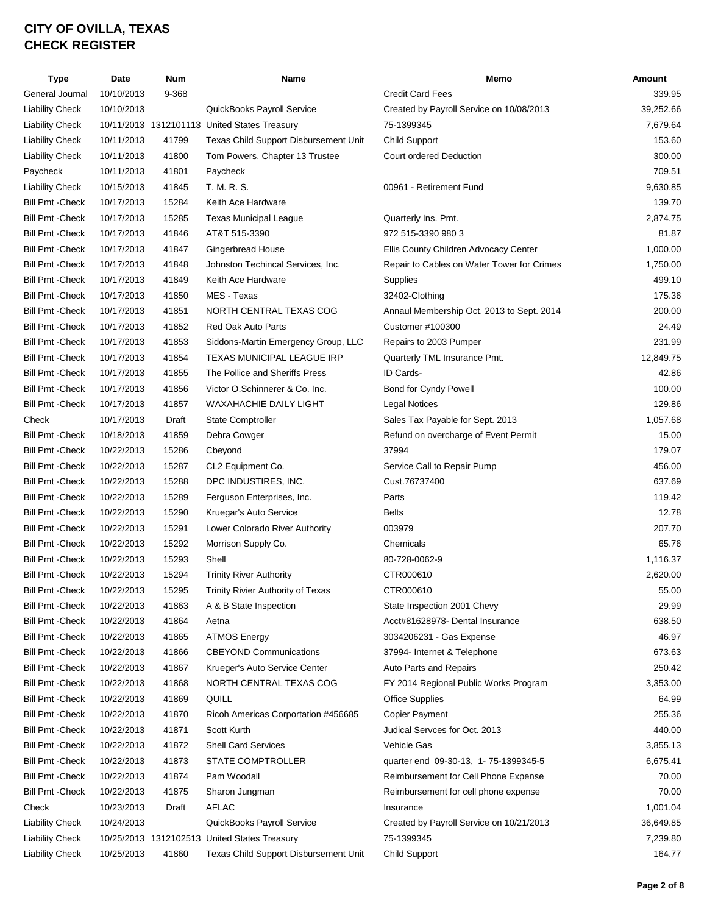| Type                    | Date       | <b>Num</b> | Name                                         | Memo                                              | Amount    |
|-------------------------|------------|------------|----------------------------------------------|---------------------------------------------------|-----------|
| General Journal         | 10/10/2013 | 9-368      |                                              | <b>Credit Card Fees</b>                           | 339.95    |
| <b>Liability Check</b>  | 10/10/2013 |            | QuickBooks Payroll Service                   | Created by Payroll Service on 10/08/2013          | 39,252.66 |
| <b>Liability Check</b>  |            |            | 10/11/2013 1312101113 United States Treasury | 75-1399345                                        | 7,679.64  |
| <b>Liability Check</b>  | 10/11/2013 | 41799      | Texas Child Support Disbursement Unit        | <b>Child Support</b>                              | 153.60    |
| <b>Liability Check</b>  | 10/11/2013 | 41800      | Tom Powers, Chapter 13 Trustee               | <b>Court ordered Deduction</b>                    | 300.00    |
| Paycheck                | 10/11/2013 | 41801      | Paycheck                                     |                                                   | 709.51    |
| <b>Liability Check</b>  | 10/15/2013 | 41845      | T. M. R. S.                                  | 00961 - Retirement Fund                           | 9,630.85  |
| <b>Bill Pmt - Check</b> | 10/17/2013 | 15284      | Keith Ace Hardware                           |                                                   | 139.70    |
| <b>Bill Pmt - Check</b> | 10/17/2013 | 15285      | <b>Texas Municipal League</b>                | Quarterly Ins. Pmt.                               | 2,874.75  |
| <b>Bill Pmt - Check</b> | 10/17/2013 | 41846      | AT&T 515-3390                                | 972 515-3390 980 3                                | 81.87     |
| <b>Bill Pmt - Check</b> | 10/17/2013 | 41847      | <b>Gingerbread House</b>                     | Ellis County Children Advocacy Center             | 1,000.00  |
| <b>Bill Pmt - Check</b> | 10/17/2013 | 41848      | Johnston Techincal Services, Inc.            | Repair to Cables on Water Tower for Crimes        | 1,750.00  |
| <b>Bill Pmt - Check</b> | 10/17/2013 | 41849      | Keith Ace Hardware                           | Supplies                                          | 499.10    |
| <b>Bill Pmt - Check</b> | 10/17/2013 | 41850      | MES - Texas                                  | 32402-Clothing                                    | 175.36    |
| <b>Bill Pmt - Check</b> | 10/17/2013 | 41851      | NORTH CENTRAL TEXAS COG                      | Annaul Membership Oct. 2013 to Sept. 2014         | 200.00    |
| <b>Bill Pmt - Check</b> | 10/17/2013 | 41852      | Red Oak Auto Parts                           | Customer #100300                                  | 24.49     |
| <b>Bill Pmt - Check</b> | 10/17/2013 | 41853      | Siddons-Martin Emergency Group, LLC          | Repairs to 2003 Pumper                            | 231.99    |
| <b>Bill Pmt - Check</b> | 10/17/2013 | 41854      | <b>TEXAS MUNICIPAL LEAGUE IRP</b>            | Quarterly TML Insurance Pmt.                      | 12,849.75 |
| <b>Bill Pmt - Check</b> | 10/17/2013 | 41855      | The Pollice and Sheriffs Press               | ID Cards-                                         | 42.86     |
| <b>Bill Pmt - Check</b> | 10/17/2013 | 41856      | Victor O.Schinnerer & Co. Inc.               | Bond for Cyndy Powell                             | 100.00    |
| <b>Bill Pmt - Check</b> | 10/17/2013 | 41857      | WAXAHACHIE DAILY LIGHT                       |                                                   | 129.86    |
| Check                   | 10/17/2013 | Draft      | <b>State Comptroller</b>                     | Legal Notices<br>Sales Tax Payable for Sept. 2013 | 1,057.68  |
|                         | 10/18/2013 | 41859      |                                              |                                                   | 15.00     |
| <b>Bill Pmt - Check</b> |            |            | Debra Cowger                                 | Refund on overcharge of Event Permit<br>37994     |           |
| <b>Bill Pmt - Check</b> | 10/22/2013 | 15286      | Cbeyond                                      |                                                   | 179.07    |
| <b>Bill Pmt - Check</b> | 10/22/2013 | 15287      | CL2 Equipment Co.                            | Service Call to Repair Pump                       | 456.00    |
| <b>Bill Pmt - Check</b> | 10/22/2013 | 15288      | DPC INDUSTIRES, INC.                         | Cust.76737400                                     | 637.69    |
| <b>Bill Pmt - Check</b> | 10/22/2013 | 15289      | Ferguson Enterprises, Inc.                   | Parts                                             | 119.42    |
| <b>Bill Pmt - Check</b> | 10/22/2013 | 15290      | Kruegar's Auto Service                       | <b>Belts</b>                                      | 12.78     |
| <b>Bill Pmt - Check</b> | 10/22/2013 | 15291      | Lower Colorado River Authority               | 003979                                            | 207.70    |
| <b>Bill Pmt - Check</b> | 10/22/2013 | 15292      | Morrison Supply Co.                          | Chemicals                                         | 65.76     |
| <b>Bill Pmt - Check</b> | 10/22/2013 | 15293      | Shell                                        | 80-728-0062-9                                     | 1,116.37  |
| <b>Bill Pmt - Check</b> | 10/22/2013 | 15294      | <b>Trinity River Authority</b>               | CTR000610                                         | 2,620.00  |
| Bill Pmt - Check        | 10/22/2013 | 15295      | Trinity Rivier Authority of Texas            | CTR000610                                         | 55.00     |
| <b>Bill Pmt - Check</b> | 10/22/2013 | 41863      | A & B State Inspection                       | State Inspection 2001 Chevy                       | 29.99     |
| <b>Bill Pmt - Check</b> | 10/22/2013 | 41864      | Aetna                                        | Acct#81628978- Dental Insurance                   | 638.50    |
| <b>Bill Pmt - Check</b> | 10/22/2013 | 41865      | <b>ATMOS Energy</b>                          | 3034206231 - Gas Expense                          | 46.97     |
| <b>Bill Pmt - Check</b> | 10/22/2013 | 41866      | <b>CBEYOND Communications</b>                | 37994- Internet & Telephone                       | 673.63    |
| <b>Bill Pmt - Check</b> | 10/22/2013 | 41867      | Krueger's Auto Service Center                | Auto Parts and Repairs                            | 250.42    |
| <b>Bill Pmt - Check</b> | 10/22/2013 | 41868      | NORTH CENTRAL TEXAS COG                      | FY 2014 Regional Public Works Program             | 3,353.00  |
| <b>Bill Pmt - Check</b> | 10/22/2013 | 41869      | QUILL                                        | <b>Office Supplies</b>                            | 64.99     |
| <b>Bill Pmt - Check</b> | 10/22/2013 | 41870      | Ricoh Americas Corportation #456685          | <b>Copier Payment</b>                             | 255.36    |
| <b>Bill Pmt - Check</b> | 10/22/2013 | 41871      | Scott Kurth                                  | Judical Servces for Oct. 2013                     | 440.00    |
| <b>Bill Pmt - Check</b> | 10/22/2013 | 41872      | <b>Shell Card Services</b>                   | Vehicle Gas                                       | 3,855.13  |
| <b>Bill Pmt - Check</b> | 10/22/2013 | 41873      | STATE COMPTROLLER                            | quarter end 09-30-13, 1-75-1399345-5              | 6,675.41  |
| <b>Bill Pmt - Check</b> | 10/22/2013 | 41874      | Pam Woodall                                  | Reimbursement for Cell Phone Expense              | 70.00     |
| <b>Bill Pmt - Check</b> | 10/22/2013 | 41875      | Sharon Jungman                               | Reimbursement for cell phone expense              | 70.00     |
| Check                   | 10/23/2013 | Draft      | <b>AFLAC</b>                                 | Insurance                                         | 1,001.04  |
| <b>Liability Check</b>  | 10/24/2013 |            | QuickBooks Payroll Service                   | Created by Payroll Service on 10/21/2013          | 36,649.85 |
| <b>Liability Check</b>  |            |            | 10/25/2013 1312102513 United States Treasury | 75-1399345                                        | 7,239.80  |
| <b>Liability Check</b>  | 10/25/2013 | 41860      | Texas Child Support Disbursement Unit        | <b>Child Support</b>                              | 164.77    |
|                         |            |            |                                              |                                                   |           |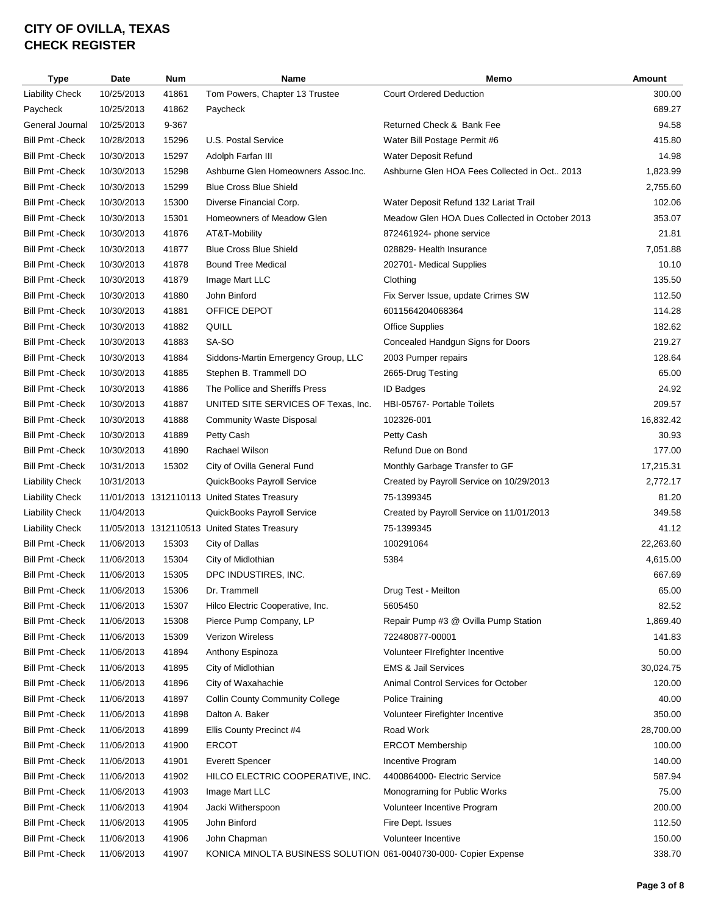| Type                    | Date       | <b>Num</b> | Name                                                             | Memo                                           | Amount    |
|-------------------------|------------|------------|------------------------------------------------------------------|------------------------------------------------|-----------|
| <b>Liability Check</b>  | 10/25/2013 | 41861      | Tom Powers, Chapter 13 Trustee                                   | <b>Court Ordered Deduction</b>                 | 300.00    |
| Paycheck                | 10/25/2013 | 41862      | Paycheck                                                         |                                                | 689.27    |
| General Journal         | 10/25/2013 | 9-367      |                                                                  | Returned Check & Bank Fee                      | 94.58     |
| <b>Bill Pmt - Check</b> | 10/28/2013 | 15296      | U.S. Postal Service                                              | Water Bill Postage Permit #6                   | 415.80    |
| <b>Bill Pmt - Check</b> | 10/30/2013 | 15297      | Adolph Farfan III                                                | Water Deposit Refund                           | 14.98     |
| <b>Bill Pmt - Check</b> | 10/30/2013 | 15298      | Ashburne Glen Homeowners Assoc. Inc.                             | Ashburne Glen HOA Fees Collected in Oct 2013   | 1,823.99  |
| <b>Bill Pmt - Check</b> | 10/30/2013 | 15299      | <b>Blue Cross Blue Shield</b>                                    |                                                | 2,755.60  |
| <b>Bill Pmt - Check</b> | 10/30/2013 | 15300      | Diverse Financial Corp.                                          | Water Deposit Refund 132 Lariat Trail          | 102.06    |
| <b>Bill Pmt - Check</b> | 10/30/2013 | 15301      | Homeowners of Meadow Glen                                        | Meadow Glen HOA Dues Collected in October 2013 | 353.07    |
| <b>Bill Pmt - Check</b> | 10/30/2013 | 41876      | AT&T-Mobility                                                    | 872461924- phone service                       | 21.81     |
| <b>Bill Pmt - Check</b> | 10/30/2013 | 41877      | <b>Blue Cross Blue Shield</b>                                    | 028829- Health Insurance                       | 7,051.88  |
| <b>Bill Pmt - Check</b> | 10/30/2013 | 41878      | <b>Bound Tree Medical</b>                                        | 202701- Medical Supplies                       | 10.10     |
| <b>Bill Pmt - Check</b> | 10/30/2013 | 41879      | Image Mart LLC                                                   | Clothing                                       | 135.50    |
| <b>Bill Pmt - Check</b> | 10/30/2013 | 41880      | John Binford                                                     | Fix Server Issue, update Crimes SW             | 112.50    |
| <b>Bill Pmt - Check</b> | 10/30/2013 | 41881      | OFFICE DEPOT                                                     | 6011564204068364                               | 114.28    |
| <b>Bill Pmt - Check</b> | 10/30/2013 | 41882      | QUILL                                                            | <b>Office Supplies</b>                         | 182.62    |
| <b>Bill Pmt - Check</b> | 10/30/2013 | 41883      | SA-SO                                                            | Concealed Handgun Signs for Doors              | 219.27    |
| <b>Bill Pmt - Check</b> | 10/30/2013 | 41884      | Siddons-Martin Emergency Group, LLC                              | 2003 Pumper repairs                            | 128.64    |
| <b>Bill Pmt - Check</b> | 10/30/2013 | 41885      | Stephen B. Trammell DO                                           | 2665-Drug Testing                              | 65.00     |
| <b>Bill Pmt - Check</b> | 10/30/2013 | 41886      | The Pollice and Sheriffs Press                                   | <b>ID Badges</b>                               | 24.92     |
| <b>Bill Pmt - Check</b> | 10/30/2013 | 41887      | UNITED SITE SERVICES OF Texas, Inc.                              | HBI-05767- Portable Toilets                    | 209.57    |
| <b>Bill Pmt - Check</b> | 10/30/2013 | 41888      | <b>Community Waste Disposal</b>                                  | 102326-001                                     | 16,832.42 |
| <b>Bill Pmt - Check</b> |            | 41889      | Petty Cash                                                       |                                                | 30.93     |
|                         | 10/30/2013 |            |                                                                  | Petty Cash                                     |           |
| <b>Bill Pmt - Check</b> | 10/30/2013 | 41890      | Rachael Wilson                                                   | Refund Due on Bond                             | 177.00    |
| <b>Bill Pmt - Check</b> | 10/31/2013 | 15302      | City of Ovilla General Fund                                      | Monthly Garbage Transfer to GF                 | 17,215.31 |
| <b>Liability Check</b>  | 10/31/2013 |            | QuickBooks Payroll Service                                       | Created by Payroll Service on 10/29/2013       | 2,772.17  |
| <b>Liability Check</b>  |            |            | 11/01/2013 1312110113 United States Treasury                     | 75-1399345                                     | 81.20     |
| <b>Liability Check</b>  | 11/04/2013 |            | QuickBooks Payroll Service                                       | Created by Payroll Service on 11/01/2013       | 349.58    |
| <b>Liability Check</b>  |            |            | 11/05/2013 1312110513 United States Treasury                     | 75-1399345                                     | 41.12     |
| <b>Bill Pmt - Check</b> | 11/06/2013 | 15303      | City of Dallas                                                   | 100291064                                      | 22,263.60 |
| <b>Bill Pmt - Check</b> | 11/06/2013 | 15304      | City of Midlothian                                               | 5384                                           | 4,615.00  |
| <b>Bill Pmt - Check</b> | 11/06/2013 | 15305      | DPC INDUSTIRES, INC.                                             |                                                | 667.69    |
| <b>Bill Pmt - Check</b> | 11/06/2013 | 15306      | Dr. Trammell                                                     | Drug Test - Meilton                            | 65.00     |
| Bill Pmt -Check         | 11/06/2013 | 15307      | Hilco Electric Cooperative, Inc.                                 | 5605450                                        | 82.52     |
| <b>Bill Pmt - Check</b> | 11/06/2013 | 15308      | Pierce Pump Company, LP                                          | Repair Pump #3 @ Ovilla Pump Station           | 1,869.40  |
| <b>Bill Pmt - Check</b> | 11/06/2013 | 15309      | <b>Verizon Wireless</b>                                          | 722480877-00001                                | 141.83    |
| <b>Bill Pmt - Check</b> | 11/06/2013 | 41894      | Anthony Espinoza                                                 | Volunteer Firefighter Incentive                | 50.00     |
| <b>Bill Pmt - Check</b> | 11/06/2013 | 41895      | City of Midlothian                                               | <b>EMS &amp; Jail Services</b>                 | 30,024.75 |
| <b>Bill Pmt - Check</b> | 11/06/2013 | 41896      | City of Waxahachie                                               | Animal Control Services for October            | 120.00    |
| <b>Bill Pmt - Check</b> | 11/06/2013 | 41897      | <b>Collin County Community College</b>                           | Police Training                                | 40.00     |
| <b>Bill Pmt - Check</b> | 11/06/2013 | 41898      | Dalton A. Baker                                                  | Volunteer Firefighter Incentive                | 350.00    |
| <b>Bill Pmt - Check</b> | 11/06/2013 | 41899      | Ellis County Precinct #4                                         | Road Work                                      | 28,700.00 |
| <b>Bill Pmt - Check</b> | 11/06/2013 | 41900      | <b>ERCOT</b>                                                     | <b>ERCOT Membership</b>                        | 100.00    |
| <b>Bill Pmt - Check</b> | 11/06/2013 | 41901      | <b>Everett Spencer</b>                                           | Incentive Program                              | 140.00    |
| <b>Bill Pmt - Check</b> | 11/06/2013 | 41902      | HILCO ELECTRIC COOPERATIVE, INC.                                 | 4400864000- Electric Service                   | 587.94    |
| <b>Bill Pmt - Check</b> | 11/06/2013 | 41903      | Image Mart LLC                                                   | Monograming for Public Works                   | 75.00     |
| <b>Bill Pmt - Check</b> | 11/06/2013 | 41904      | Jacki Witherspoon                                                | Volunteer Incentive Program                    | 200.00    |
| <b>Bill Pmt - Check</b> | 11/06/2013 | 41905      | John Binford                                                     | Fire Dept. Issues                              | 112.50    |
| <b>Bill Pmt - Check</b> | 11/06/2013 | 41906      | John Chapman                                                     | Volunteer Incentive                            | 150.00    |
| <b>Bill Pmt - Check</b> | 11/06/2013 | 41907      | KONICA MINOLTA BUSINESS SOLUTION 061-0040730-000- Copier Expense |                                                | 338.70    |
|                         |            |            |                                                                  |                                                |           |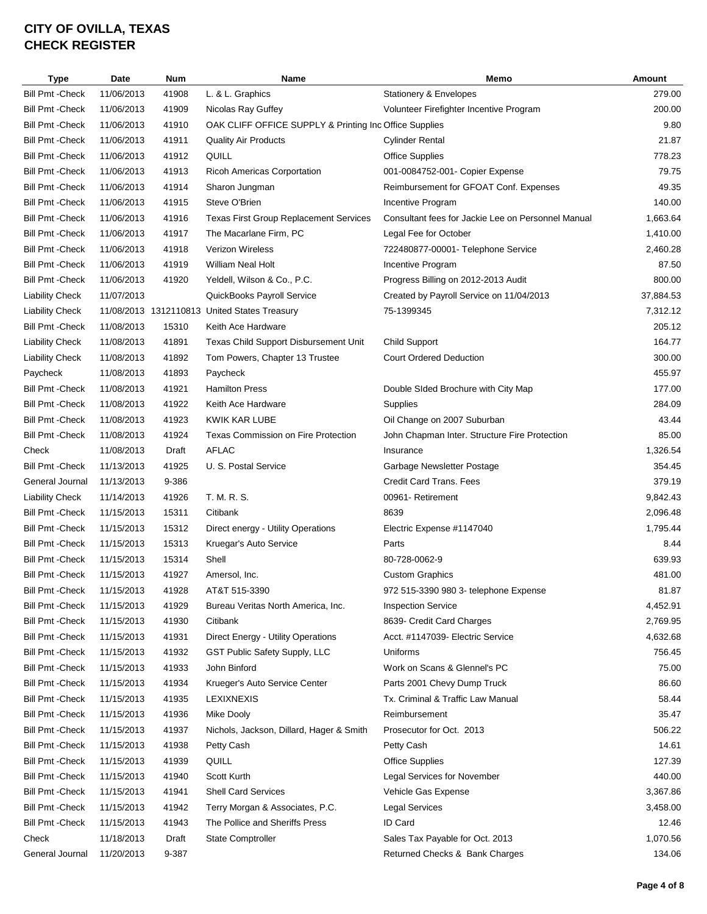| <b>Type</b>             | Date       | Num   | Name                                                   | Memo                                               | Amount    |
|-------------------------|------------|-------|--------------------------------------------------------|----------------------------------------------------|-----------|
| <b>Bill Pmt - Check</b> | 11/06/2013 | 41908 | L. & L. Graphics                                       | Stationery & Envelopes                             | 279.00    |
| <b>Bill Pmt - Check</b> | 11/06/2013 | 41909 | Nicolas Ray Guffey                                     | Volunteer Firefighter Incentive Program            | 200.00    |
| <b>Bill Pmt - Check</b> | 11/06/2013 | 41910 | OAK CLIFF OFFICE SUPPLY & Printing Inc Office Supplies |                                                    | 9.80      |
| <b>Bill Pmt - Check</b> | 11/06/2013 | 41911 | <b>Quality Air Products</b>                            | <b>Cylinder Rental</b>                             | 21.87     |
| <b>Bill Pmt - Check</b> | 11/06/2013 | 41912 | QUILL                                                  | <b>Office Supplies</b>                             | 778.23    |
| <b>Bill Pmt - Check</b> | 11/06/2013 | 41913 | Ricoh Americas Corportation                            | 001-0084752-001- Copier Expense                    | 79.75     |
| <b>Bill Pmt - Check</b> | 11/06/2013 | 41914 | Sharon Jungman                                         | Reimbursement for GFOAT Conf. Expenses             | 49.35     |
| <b>Bill Pmt - Check</b> | 11/06/2013 | 41915 | Steve O'Brien                                          | Incentive Program                                  | 140.00    |
| <b>Bill Pmt - Check</b> | 11/06/2013 | 41916 | <b>Texas First Group Replacement Services</b>          | Consultant fees for Jackie Lee on Personnel Manual | 1,663.64  |
| <b>Bill Pmt - Check</b> | 11/06/2013 | 41917 | The Macarlane Firm, PC                                 | Legal Fee for October                              | 1,410.00  |
| <b>Bill Pmt - Check</b> | 11/06/2013 | 41918 | <b>Verizon Wireless</b>                                | 722480877-00001- Telephone Service                 | 2,460.28  |
| <b>Bill Pmt - Check</b> | 11/06/2013 | 41919 | <b>William Neal Holt</b>                               | Incentive Program                                  | 87.50     |
| <b>Bill Pmt - Check</b> | 11/06/2013 | 41920 | Yeldell, Wilson & Co., P.C.                            | Progress Billing on 2012-2013 Audit                | 800.00    |
| <b>Liability Check</b>  | 11/07/2013 |       | QuickBooks Payroll Service                             | Created by Payroll Service on 11/04/2013           | 37,884.53 |
| <b>Liability Check</b>  |            |       | 11/08/2013 1312110813 United States Treasury           | 75-1399345                                         | 7,312.12  |
| <b>Bill Pmt - Check</b> | 11/08/2013 | 15310 | Keith Ace Hardware                                     |                                                    | 205.12    |
| <b>Liability Check</b>  | 11/08/2013 | 41891 | Texas Child Support Disbursement Unit                  | <b>Child Support</b>                               | 164.77    |
| <b>Liability Check</b>  | 11/08/2013 | 41892 | Tom Powers, Chapter 13 Trustee                         | <b>Court Ordered Deduction</b>                     | 300.00    |
| Paycheck                | 11/08/2013 | 41893 | Paycheck                                               |                                                    | 455.97    |
| <b>Bill Pmt - Check</b> | 11/08/2013 | 41921 | <b>Hamilton Press</b>                                  | Double SIded Brochure with City Map                | 177.00    |
| <b>Bill Pmt - Check</b> | 11/08/2013 | 41922 | Keith Ace Hardware                                     | Supplies                                           | 284.09    |
| <b>Bill Pmt - Check</b> | 11/08/2013 | 41923 | KWIK KAR LUBE                                          | Oil Change on 2007 Suburban                        | 43.44     |
| <b>Bill Pmt - Check</b> | 11/08/2013 | 41924 | Texas Commission on Fire Protection                    | John Chapman Inter. Structure Fire Protection      | 85.00     |
| Check                   | 11/08/2013 | Draft | <b>AFLAC</b>                                           | Insurance                                          | 1,326.54  |
| <b>Bill Pmt - Check</b> | 11/13/2013 | 41925 | U. S. Postal Service                                   | Garbage Newsletter Postage                         | 354.45    |
| General Journal         | 11/13/2013 | 9-386 |                                                        | Credit Card Trans. Fees                            | 379.19    |
| <b>Liability Check</b>  | 11/14/2013 | 41926 | T. M. R. S.                                            | 00961- Retirement                                  | 9,842.43  |
| <b>Bill Pmt - Check</b> | 11/15/2013 | 15311 | Citibank                                               | 8639                                               | 2,096.48  |
| <b>Bill Pmt - Check</b> | 11/15/2013 | 15312 | Direct energy - Utility Operations                     | Electric Expense #1147040                          | 1,795.44  |
| <b>Bill Pmt - Check</b> | 11/15/2013 | 15313 | Kruegar's Auto Service                                 | Parts                                              | 8.44      |
| <b>Bill Pmt - Check</b> | 11/15/2013 | 15314 | Shell                                                  | 80-728-0062-9                                      | 639.93    |
| <b>Bill Pmt - Check</b> | 11/15/2013 | 41927 | Amersol, Inc.                                          | <b>Custom Graphics</b>                             | 481.00    |
| Bill Pmt - Check        | 11/15/2013 | 41928 | AT&T 515-3390                                          | 972 515-3390 980 3- telephone Expense              | 81.87     |
| <b>Bill Pmt - Check</b> | 11/15/2013 | 41929 | Bureau Veritas North America, Inc.                     | <b>Inspection Service</b>                          | 4,452.91  |
| <b>Bill Pmt - Check</b> | 11/15/2013 | 41930 | Citibank                                               | 8639- Credit Card Charges                          | 2,769.95  |
| <b>Bill Pmt - Check</b> | 11/15/2013 | 41931 | Direct Energy - Utility Operations                     | Acct. #1147039- Electric Service                   | 4,632.68  |
| <b>Bill Pmt - Check</b> | 11/15/2013 | 41932 | GST Public Safety Supply, LLC                          | Uniforms                                           | 756.45    |
| <b>Bill Pmt - Check</b> | 11/15/2013 | 41933 | John Binford                                           | Work on Scans & Glennel's PC                       | 75.00     |
| <b>Bill Pmt - Check</b> | 11/15/2013 | 41934 | Krueger's Auto Service Center                          | Parts 2001 Chevy Dump Truck                        | 86.60     |
| <b>Bill Pmt - Check</b> | 11/15/2013 | 41935 | <b>LEXIXNEXIS</b>                                      | Tx. Criminal & Traffic Law Manual                  | 58.44     |
| <b>Bill Pmt - Check</b> | 11/15/2013 | 41936 | <b>Mike Dooly</b>                                      | Reimbursement                                      | 35.47     |
| <b>Bill Pmt - Check</b> | 11/15/2013 | 41937 | Nichols, Jackson, Dillard, Hager & Smith               | Prosecutor for Oct. 2013                           | 506.22    |
| <b>Bill Pmt - Check</b> | 11/15/2013 | 41938 | Petty Cash                                             | Petty Cash                                         | 14.61     |
| <b>Bill Pmt - Check</b> | 11/15/2013 | 41939 | QUILL                                                  | <b>Office Supplies</b>                             | 127.39    |
| <b>Bill Pmt - Check</b> | 11/15/2013 | 41940 | Scott Kurth                                            | Legal Services for November                        | 440.00    |
| <b>Bill Pmt - Check</b> | 11/15/2013 | 41941 | <b>Shell Card Services</b>                             | Vehicle Gas Expense                                | 3,367.86  |
| <b>Bill Pmt - Check</b> | 11/15/2013 | 41942 | Terry Morgan & Associates, P.C.                        | <b>Legal Services</b>                              | 3,458.00  |
| <b>Bill Pmt - Check</b> | 11/15/2013 | 41943 | The Pollice and Sheriffs Press                         | ID Card                                            | 12.46     |
| Check                   | 11/18/2013 | Draft | State Comptroller                                      | Sales Tax Payable for Oct. 2013                    | 1,070.56  |
| General Journal         | 11/20/2013 | 9-387 |                                                        | Returned Checks & Bank Charges                     | 134.06    |
|                         |            |       |                                                        |                                                    |           |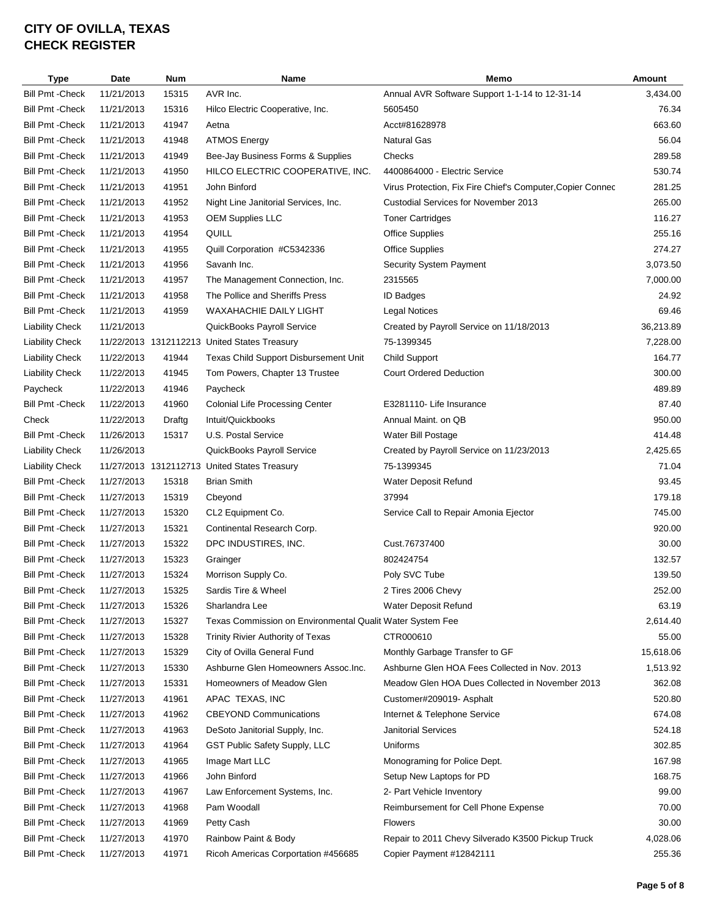| <b>Type</b>             | Date       | Num    | Name                                                      | Memo                                                       | <b>Amount</b> |
|-------------------------|------------|--------|-----------------------------------------------------------|------------------------------------------------------------|---------------|
| <b>Bill Pmt - Check</b> | 11/21/2013 | 15315  | AVR Inc.                                                  | Annual AVR Software Support 1-1-14 to 12-31-14             | 3,434.00      |
| <b>Bill Pmt - Check</b> | 11/21/2013 | 15316  | Hilco Electric Cooperative, Inc.                          | 5605450                                                    | 76.34         |
| <b>Bill Pmt - Check</b> | 11/21/2013 | 41947  | Aetna                                                     | Acct#81628978                                              | 663.60        |
| <b>Bill Pmt - Check</b> | 11/21/2013 | 41948  | <b>ATMOS Energy</b>                                       | <b>Natural Gas</b>                                         | 56.04         |
| <b>Bill Pmt - Check</b> | 11/21/2013 | 41949  | Bee-Jay Business Forms & Supplies                         | Checks                                                     | 289.58        |
| <b>Bill Pmt - Check</b> | 11/21/2013 | 41950  | HILCO ELECTRIC COOPERATIVE, INC.                          | 4400864000 - Electric Service                              | 530.74        |
| <b>Bill Pmt - Check</b> | 11/21/2013 | 41951  | John Binford                                              | Virus Protection, Fix Fire Chief's Computer, Copier Connec | 281.25        |
| <b>Bill Pmt - Check</b> | 11/21/2013 | 41952  | Night Line Janitorial Services, Inc.                      | <b>Custodial Services for November 2013</b>                | 265.00        |
| <b>Bill Pmt - Check</b> | 11/21/2013 | 41953  | <b>OEM Supplies LLC</b>                                   | <b>Toner Cartridges</b>                                    | 116.27        |
| <b>Bill Pmt - Check</b> | 11/21/2013 | 41954  | QUILL                                                     | <b>Office Supplies</b>                                     | 255.16        |
| <b>Bill Pmt - Check</b> | 11/21/2013 | 41955  | Quill Corporation #C5342336                               | <b>Office Supplies</b>                                     | 274.27        |
| <b>Bill Pmt - Check</b> | 11/21/2013 | 41956  | Savanh Inc.                                               | Security System Payment                                    | 3,073.50      |
| <b>Bill Pmt - Check</b> | 11/21/2013 | 41957  | The Management Connection, Inc.                           | 2315565                                                    | 7,000.00      |
| <b>Bill Pmt - Check</b> | 11/21/2013 | 41958  | The Pollice and Sheriffs Press                            | ID Badges                                                  | 24.92         |
| <b>Bill Pmt - Check</b> | 11/21/2013 | 41959  | <b>WAXAHACHIE DAILY LIGHT</b>                             | <b>Legal Notices</b>                                       | 69.46         |
| <b>Liability Check</b>  | 11/21/2013 |        | QuickBooks Payroll Service                                | Created by Payroll Service on 11/18/2013                   | 36,213.89     |
| <b>Liability Check</b>  |            |        | 11/22/2013 1312112213 United States Treasury              | 75-1399345                                                 | 7,228.00      |
| <b>Liability Check</b>  | 11/22/2013 | 41944  | Texas Child Support Disbursement Unit                     | <b>Child Support</b>                                       | 164.77        |
|                         |            | 41945  |                                                           |                                                            | 300.00        |
| <b>Liability Check</b>  | 11/22/2013 |        | Tom Powers, Chapter 13 Trustee                            | <b>Court Ordered Deduction</b>                             |               |
| Paycheck                | 11/22/2013 | 41946  | Paycheck                                                  |                                                            | 489.89        |
| <b>Bill Pmt - Check</b> | 11/22/2013 | 41960  | <b>Colonial Life Processing Center</b>                    | E3281110- Life Insurance                                   | 87.40         |
| Check                   | 11/22/2013 | Draftg | Intuit/Quickbooks                                         | Annual Maint. on QB                                        | 950.00        |
| <b>Bill Pmt - Check</b> | 11/26/2013 | 15317  | U.S. Postal Service                                       | Water Bill Postage                                         | 414.48        |
| <b>Liability Check</b>  | 11/26/2013 |        | QuickBooks Payroll Service                                | Created by Payroll Service on 11/23/2013                   | 2,425.65      |
| <b>Liability Check</b>  |            |        | 11/27/2013 1312112713 United States Treasury              | 75-1399345                                                 | 71.04         |
| Bill Pmt -Check         | 11/27/2013 | 15318  | <b>Brian Smith</b>                                        | Water Deposit Refund                                       | 93.45         |
| <b>Bill Pmt - Check</b> | 11/27/2013 | 15319  | Cbeyond                                                   | 37994                                                      | 179.18        |
| Bill Pmt -Check         | 11/27/2013 | 15320  | CL2 Equipment Co.                                         | Service Call to Repair Amonia Ejector                      | 745.00        |
| <b>Bill Pmt - Check</b> | 11/27/2013 | 15321  | Continental Research Corp.                                |                                                            | 920.00        |
| <b>Bill Pmt - Check</b> | 11/27/2013 | 15322  | DPC INDUSTIRES, INC.                                      | Cust.76737400                                              | 30.00         |
| <b>Bill Pmt - Check</b> | 11/27/2013 | 15323  | Grainger                                                  | 802424754                                                  | 132.57        |
| <b>Bill Pmt - Check</b> | 11/27/2013 | 15324  | Morrison Supply Co.                                       | Poly SVC Tube                                              | 139.50        |
| Bill Pmt - Check        | 11/27/2013 | 15325  | Sardis Tire & Wheel                                       | 2 Tires 2006 Chevy                                         | 252.00        |
| Bill Pmt -Check         | 11/27/2013 | 15326  | Sharlandra Lee                                            | Water Deposit Refund                                       | 63.19         |
| <b>Bill Pmt - Check</b> | 11/27/2013 | 15327  | Texas Commission on Environmental Qualit Water System Fee |                                                            | 2,614.40      |
| Bill Pmt -Check         | 11/27/2013 | 15328  | Trinity Rivier Authority of Texas                         | CTR000610                                                  | 55.00         |
| <b>Bill Pmt - Check</b> | 11/27/2013 | 15329  | City of Ovilla General Fund                               | Monthly Garbage Transfer to GF                             | 15,618.06     |
| Bill Pmt -Check         | 11/27/2013 | 15330  | Ashburne Glen Homeowners Assoc.Inc.                       | Ashburne Glen HOA Fees Collected in Nov. 2013              | 1,513.92      |
| <b>Bill Pmt - Check</b> | 11/27/2013 | 15331  | Homeowners of Meadow Glen                                 | Meadow Glen HOA Dues Collected in November 2013            | 362.08        |
| Bill Pmt -Check         | 11/27/2013 | 41961  | APAC TEXAS, INC                                           | Customer#209019- Asphalt                                   | 520.80        |
| Bill Pmt -Check         | 11/27/2013 | 41962  | <b>CBEYOND Communications</b>                             | Internet & Telephone Service                               | 674.08        |
| <b>Bill Pmt - Check</b> | 11/27/2013 | 41963  | DeSoto Janitorial Supply, Inc.                            | <b>Janitorial Services</b>                                 | 524.18        |
| Bill Pmt -Check         | 11/27/2013 | 41964  | GST Public Safety Supply, LLC                             | Uniforms                                                   | 302.85        |
| Bill Pmt -Check         | 11/27/2013 | 41965  | Image Mart LLC                                            | Monograming for Police Dept.                               | 167.98        |
| <b>Bill Pmt - Check</b> | 11/27/2013 | 41966  | John Binford                                              | Setup New Laptops for PD                                   | 168.75        |
| Bill Pmt -Check         | 11/27/2013 | 41967  | Law Enforcement Systems, Inc.                             | 2- Part Vehicle Inventory                                  | 99.00         |
| Bill Pmt -Check         | 11/27/2013 | 41968  | Pam Woodall                                               | Reimbursement for Cell Phone Expense                       | 70.00         |
| Bill Pmt -Check         | 11/27/2013 | 41969  | Petty Cash                                                | <b>Flowers</b>                                             | 30.00         |
| <b>Bill Pmt - Check</b> | 11/27/2013 | 41970  | Rainbow Paint & Body                                      | Repair to 2011 Chevy Silverado K3500 Pickup Truck          | 4,028.06      |
| <b>Bill Pmt - Check</b> | 11/27/2013 | 41971  | Ricoh Americas Corportation #456685                       | Copier Payment #12842111                                   | 255.36        |
|                         |            |        |                                                           |                                                            |               |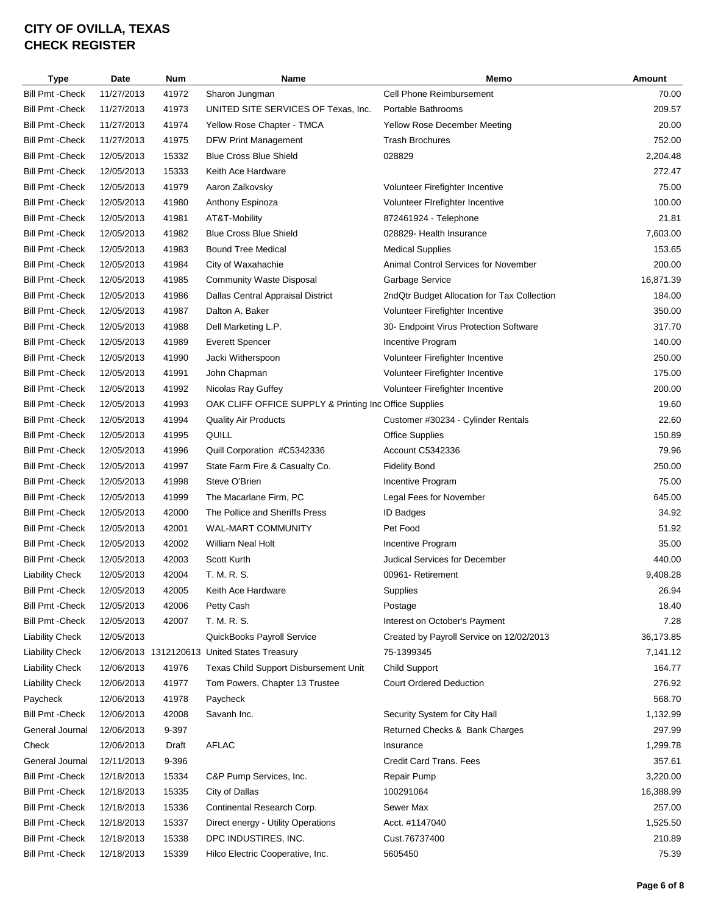| <b>Type</b>             | Date       | Num   | Name                                                   | Memo                                        | <b>Amount</b> |
|-------------------------|------------|-------|--------------------------------------------------------|---------------------------------------------|---------------|
| <b>Bill Pmt - Check</b> | 11/27/2013 | 41972 | Sharon Jungman                                         | Cell Phone Reimbursement                    | 70.00         |
| <b>Bill Pmt - Check</b> | 11/27/2013 | 41973 | UNITED SITE SERVICES OF Texas, Inc.                    | Portable Bathrooms                          | 209.57        |
| <b>Bill Pmt - Check</b> | 11/27/2013 | 41974 | Yellow Rose Chapter - TMCA                             | <b>Yellow Rose December Meeting</b>         | 20.00         |
| <b>Bill Pmt - Check</b> | 11/27/2013 | 41975 | <b>DFW Print Management</b>                            | <b>Trash Brochures</b>                      | 752.00        |
| <b>Bill Pmt - Check</b> | 12/05/2013 | 15332 | <b>Blue Cross Blue Shield</b>                          | 028829                                      | 2,204.48      |
| <b>Bill Pmt - Check</b> | 12/05/2013 | 15333 | Keith Ace Hardware                                     |                                             | 272.47        |
| <b>Bill Pmt - Check</b> | 12/05/2013 | 41979 | Aaron Zalkovsky                                        | Volunteer Firefighter Incentive             | 75.00         |
| <b>Bill Pmt - Check</b> | 12/05/2013 | 41980 | Anthony Espinoza                                       | Volunteer Firefighter Incentive             | 100.00        |
| <b>Bill Pmt - Check</b> | 12/05/2013 | 41981 | AT&T-Mobility                                          | 872461924 - Telephone                       | 21.81         |
| <b>Bill Pmt - Check</b> | 12/05/2013 | 41982 | <b>Blue Cross Blue Shield</b>                          | 028829- Health Insurance                    | 7,603.00      |
| <b>Bill Pmt - Check</b> | 12/05/2013 | 41983 | <b>Bound Tree Medical</b>                              | <b>Medical Supplies</b>                     | 153.65        |
| <b>Bill Pmt - Check</b> | 12/05/2013 | 41984 | City of Waxahachie                                     | <b>Animal Control Services for November</b> | 200.00        |
| <b>Bill Pmt - Check</b> | 12/05/2013 | 41985 | <b>Community Waste Disposal</b>                        | Garbage Service                             | 16,871.39     |
| <b>Bill Pmt - Check</b> | 12/05/2013 | 41986 | Dallas Central Appraisal District                      | 2ndQtr Budget Allocation for Tax Collection | 184.00        |
| <b>Bill Pmt - Check</b> | 12/05/2013 | 41987 | Dalton A. Baker                                        | Volunteer Firefighter Incentive             | 350.00        |
| <b>Bill Pmt - Check</b> | 12/05/2013 | 41988 | Dell Marketing L.P.                                    | 30- Endpoint Virus Protection Software      | 317.70        |
| <b>Bill Pmt - Check</b> | 12/05/2013 | 41989 | <b>Everett Spencer</b>                                 | Incentive Program                           | 140.00        |
| <b>Bill Pmt - Check</b> | 12/05/2013 | 41990 | Jacki Witherspoon                                      | Volunteer Firefighter Incentive             | 250.00        |
| <b>Bill Pmt - Check</b> | 12/05/2013 | 41991 | John Chapman                                           | Volunteer Firefighter Incentive             | 175.00        |
| <b>Bill Pmt - Check</b> | 12/05/2013 | 41992 | Nicolas Ray Guffey                                     | Volunteer Firefighter Incentive             | 200.00        |
| <b>Bill Pmt - Check</b> | 12/05/2013 | 41993 | OAK CLIFF OFFICE SUPPLY & Printing Inc Office Supplies |                                             | 19.60         |
| <b>Bill Pmt - Check</b> | 12/05/2013 | 41994 | <b>Quality Air Products</b>                            | Customer #30234 - Cylinder Rentals          | 22.60         |
| <b>Bill Pmt - Check</b> | 12/05/2013 | 41995 | QUILL                                                  | <b>Office Supplies</b>                      | 150.89        |
| <b>Bill Pmt - Check</b> | 12/05/2013 | 41996 | Quill Corporation #C5342336                            | Account C5342336                            | 79.96         |
| <b>Bill Pmt - Check</b> | 12/05/2013 | 41997 | State Farm Fire & Casualty Co.                         | <b>Fidelity Bond</b>                        | 250.00        |
| <b>Bill Pmt - Check</b> | 12/05/2013 | 41998 | Steve O'Brien                                          | Incentive Program                           | 75.00         |
| <b>Bill Pmt - Check</b> | 12/05/2013 | 41999 | The Macarlane Firm, PC                                 | Legal Fees for November                     | 645.00        |
| <b>Bill Pmt - Check</b> | 12/05/2013 | 42000 | The Pollice and Sheriffs Press                         | <b>ID Badges</b>                            | 34.92         |
|                         |            |       | WAL-MART COMMUNITY                                     |                                             | 51.92         |
| <b>Bill Pmt - Check</b> | 12/05/2013 | 42001 |                                                        | Pet Food                                    |               |
| <b>Bill Pmt - Check</b> | 12/05/2013 | 42002 | <b>William Neal Holt</b>                               | Incentive Program                           | 35.00         |
| <b>Bill Pmt - Check</b> | 12/05/2013 | 42003 | Scott Kurth                                            | Judical Services for December               | 440.00        |
| <b>Liability Check</b>  | 12/05/2013 | 42004 | T. M. R. S.                                            | 00961- Retirement                           | 9,408.28      |
| Bill Pmt -Check         | 12/05/2013 | 42005 | Keith Ace Hardware                                     | Supplies                                    | 26.94         |
| Bill Pmt - Check        | 12/05/2013 | 42006 | Petty Cash                                             | Postage                                     | 18.40         |
| <b>Bill Pmt - Check</b> | 12/05/2013 | 42007 | T. M. R. S.                                            | Interest on October's Payment               | 7.28          |
| <b>Liability Check</b>  | 12/05/2013 |       | QuickBooks Payroll Service                             | Created by Payroll Service on 12/02/2013    | 36,173.85     |
| <b>Liability Check</b>  |            |       | 12/06/2013 1312120613 United States Treasury           | 75-1399345                                  | 7,141.12      |
| <b>Liability Check</b>  | 12/06/2013 | 41976 | Texas Child Support Disbursement Unit                  | <b>Child Support</b>                        | 164.77        |
| <b>Liability Check</b>  | 12/06/2013 | 41977 | Tom Powers, Chapter 13 Trustee                         | <b>Court Ordered Deduction</b>              | 276.92        |
| Paycheck                | 12/06/2013 | 41978 | Paycheck                                               |                                             | 568.70        |
| <b>Bill Pmt - Check</b> | 12/06/2013 | 42008 | Savanh Inc.                                            | Security System for City Hall               | 1,132.99      |
| General Journal         | 12/06/2013 | 9-397 |                                                        | Returned Checks & Bank Charges              | 297.99        |
| Check                   | 12/06/2013 | Draft | <b>AFLAC</b>                                           | Insurance                                   | 1,299.78      |
| General Journal         | 12/11/2013 | 9-396 |                                                        | Credit Card Trans. Fees                     | 357.61        |
| <b>Bill Pmt - Check</b> | 12/18/2013 | 15334 | C&P Pump Services, Inc.                                | Repair Pump                                 | 3,220.00      |
| <b>Bill Pmt - Check</b> | 12/18/2013 | 15335 | City of Dallas                                         | 100291064                                   | 16,388.99     |
| <b>Bill Pmt - Check</b> | 12/18/2013 | 15336 | Continental Research Corp.                             | Sewer Max                                   | 257.00        |
| <b>Bill Pmt - Check</b> | 12/18/2013 | 15337 | Direct energy - Utility Operations                     | Acct. #1147040                              | 1,525.50      |
| <b>Bill Pmt - Check</b> | 12/18/2013 | 15338 | DPC INDUSTIRES, INC.                                   | Cust.76737400                               | 210.89        |
| <b>Bill Pmt - Check</b> | 12/18/2013 | 15339 | Hilco Electric Cooperative, Inc.                       | 5605450                                     | 75.39         |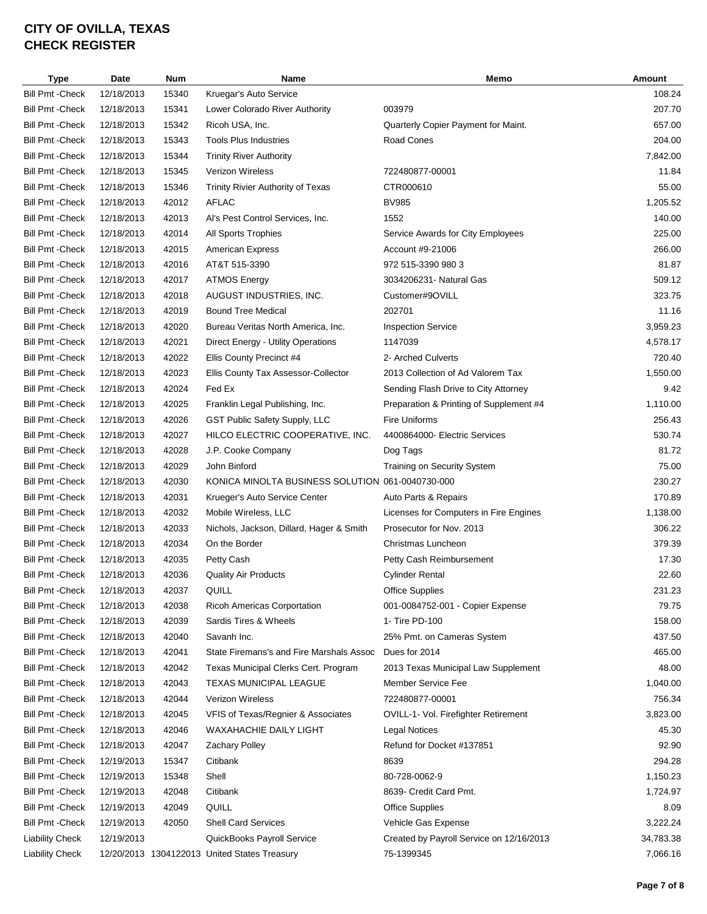| Type                    | Date       | <b>Num</b> | Name                                             | Memo                                     | Amount    |
|-------------------------|------------|------------|--------------------------------------------------|------------------------------------------|-----------|
| <b>Bill Pmt - Check</b> | 12/18/2013 | 15340      | Kruegar's Auto Service                           |                                          | 108.24    |
| <b>Bill Pmt - Check</b> | 12/18/2013 | 15341      | Lower Colorado River Authority                   | 003979                                   | 207.70    |
| <b>Bill Pmt - Check</b> | 12/18/2013 | 15342      | Ricoh USA, Inc.                                  | Quarterly Copier Payment for Maint.      | 657.00    |
| <b>Bill Pmt - Check</b> | 12/18/2013 | 15343      | <b>Tools Plus Industries</b>                     | Road Cones                               | 204.00    |
| <b>Bill Pmt - Check</b> | 12/18/2013 | 15344      | <b>Trinity River Authority</b>                   |                                          | 7,842.00  |
| <b>Bill Pmt - Check</b> | 12/18/2013 | 15345      | <b>Verizon Wireless</b>                          | 722480877-00001                          | 11.84     |
| <b>Bill Pmt - Check</b> | 12/18/2013 | 15346      | Trinity Rivier Authority of Texas                | CTR000610                                | 55.00     |
| <b>Bill Pmt - Check</b> | 12/18/2013 | 42012      | <b>AFLAC</b>                                     | <b>BV985</b>                             | 1,205.52  |
| <b>Bill Pmt - Check</b> | 12/18/2013 | 42013      | Al's Pest Control Services, Inc.                 | 1552                                     | 140.00    |
| <b>Bill Pmt - Check</b> | 12/18/2013 | 42014      | All Sports Trophies                              | Service Awards for City Employees        | 225.00    |
| <b>Bill Pmt - Check</b> | 12/18/2013 | 42015      | American Express                                 | Account #9-21006                         | 266.00    |
| <b>Bill Pmt - Check</b> | 12/18/2013 | 42016      | AT&T 515-3390                                    | 972 515-3390 980 3                       | 81.87     |
| <b>Bill Pmt - Check</b> | 12/18/2013 | 42017      | <b>ATMOS Energy</b>                              | 3034206231- Natural Gas                  | 509.12    |
| <b>Bill Pmt - Check</b> | 12/18/2013 | 42018      | AUGUST INDUSTRIES, INC.                          | Customer#9OVILL                          | 323.75    |
| <b>Bill Pmt - Check</b> | 12/18/2013 | 42019      | <b>Bound Tree Medical</b>                        | 202701                                   | 11.16     |
| <b>Bill Pmt - Check</b> | 12/18/2013 | 42020      | Bureau Veritas North America, Inc.               | <b>Inspection Service</b>                | 3,959.23  |
|                         |            |            |                                                  |                                          |           |
| <b>Bill Pmt - Check</b> | 12/18/2013 | 42021      | Direct Energy - Utility Operations               | 1147039                                  | 4,578.17  |
| <b>Bill Pmt - Check</b> | 12/18/2013 | 42022      | Ellis County Precinct #4                         | 2- Arched Culverts                       | 720.40    |
| <b>Bill Pmt - Check</b> | 12/18/2013 | 42023      | Ellis County Tax Assessor-Collector              | 2013 Collection of Ad Valorem Tax        | 1,550.00  |
| <b>Bill Pmt - Check</b> | 12/18/2013 | 42024      | Fed Ex                                           | Sending Flash Drive to City Attorney     | 9.42      |
| <b>Bill Pmt - Check</b> | 12/18/2013 | 42025      | Franklin Legal Publishing, Inc.                  | Preparation & Printing of Supplement #4  | 1,110.00  |
| <b>Bill Pmt - Check</b> | 12/18/2013 | 42026      | GST Public Safety Supply, LLC                    | Fire Uniforms                            | 256.43    |
| <b>Bill Pmt - Check</b> | 12/18/2013 | 42027      | HILCO ELECTRIC COOPERATIVE, INC.                 | 4400864000- Electric Services            | 530.74    |
| <b>Bill Pmt - Check</b> | 12/18/2013 | 42028      | J.P. Cooke Company                               | Dog Tags                                 | 81.72     |
| <b>Bill Pmt - Check</b> | 12/18/2013 | 42029      | John Binford                                     | Training on Security System              | 75.00     |
| <b>Bill Pmt - Check</b> | 12/18/2013 | 42030      | KONICA MINOLTA BUSINESS SOLUTION 061-0040730-000 |                                          | 230.27    |
| <b>Bill Pmt - Check</b> | 12/18/2013 | 42031      | Krueger's Auto Service Center                    | Auto Parts & Repairs                     | 170.89    |
| <b>Bill Pmt - Check</b> | 12/18/2013 | 42032      | Mobile Wireless, LLC                             | Licenses for Computers in Fire Engines   | 1,138.00  |
| <b>Bill Pmt - Check</b> | 12/18/2013 | 42033      | Nichols, Jackson, Dillard, Hager & Smith         | Prosecutor for Nov. 2013                 | 306.22    |
| <b>Bill Pmt - Check</b> | 12/18/2013 | 42034      | On the Border                                    | Christmas Luncheon                       | 379.39    |
| <b>Bill Pmt - Check</b> | 12/18/2013 | 42035      | Petty Cash                                       | Petty Cash Reimbursement                 | 17.30     |
| <b>Bill Pmt - Check</b> | 12/18/2013 | 42036      | <b>Quality Air Products</b>                      | <b>Cylinder Rental</b>                   | 22.60     |
| Bill Pmt -Check         | 12/18/2013 | 42037      | QUILL                                            | Office Supplies                          | 231.23    |
| Bill Pmt - Check        | 12/18/2013 | 42038      | <b>Ricoh Americas Corportation</b>               | 001-0084752-001 - Copier Expense         | 79.75     |
| <b>Bill Pmt - Check</b> | 12/18/2013 | 42039      | Sardis Tires & Wheels                            | 1- Tire PD-100                           | 158.00    |
| <b>Bill Pmt - Check</b> | 12/18/2013 | 42040      | Savanh Inc.                                      | 25% Pmt. on Cameras System               | 437.50    |
| <b>Bill Pmt - Check</b> | 12/18/2013 | 42041      | State Firemans's and Fire Marshals Assoc         | Dues for 2014                            | 465.00    |
| <b>Bill Pmt - Check</b> | 12/18/2013 | 42042      | Texas Municipal Clerks Cert. Program             | 2013 Texas Municipal Law Supplement      | 48.00     |
| <b>Bill Pmt - Check</b> | 12/18/2013 | 42043      | TEXAS MUNICIPAL LEAGUE                           | Member Service Fee                       | 1,040.00  |
| <b>Bill Pmt - Check</b> | 12/18/2013 | 42044      | <b>Verizon Wireless</b>                          | 722480877-00001                          | 756.34    |
| <b>Bill Pmt - Check</b> | 12/18/2013 | 42045      | VFIS of Texas/Regnier & Associates               | OVILL-1- Vol. Firefighter Retirement     | 3,823.00  |
| <b>Bill Pmt - Check</b> | 12/18/2013 | 42046      | WAXAHACHIE DAILY LIGHT                           | <b>Legal Notices</b>                     | 45.30     |
| <b>Bill Pmt - Check</b> | 12/18/2013 | 42047      | <b>Zachary Polley</b>                            | Refund for Docket #137851                | 92.90     |
| <b>Bill Pmt - Check</b> | 12/19/2013 | 15347      | Citibank                                         | 8639                                     | 294.28    |
| <b>Bill Pmt - Check</b> | 12/19/2013 | 15348      | Shell                                            | 80-728-0062-9                            | 1,150.23  |
| <b>Bill Pmt - Check</b> | 12/19/2013 | 42048      | Citibank                                         | 8639- Credit Card Pmt.                   | 1,724.97  |
| <b>Bill Pmt - Check</b> | 12/19/2013 | 42049      | QUILL                                            | <b>Office Supplies</b>                   | 8.09      |
| <b>Bill Pmt - Check</b> | 12/19/2013 | 42050      | <b>Shell Card Services</b>                       | Vehicle Gas Expense                      | 3,222.24  |
|                         |            |            |                                                  |                                          |           |
| <b>Liability Check</b>  | 12/19/2013 |            | QuickBooks Payroll Service                       | Created by Payroll Service on 12/16/2013 | 34,783.38 |
| <b>Liability Check</b>  |            |            | 12/20/2013 1304122013 United States Treasury     | 75-1399345                               | 7,066.16  |